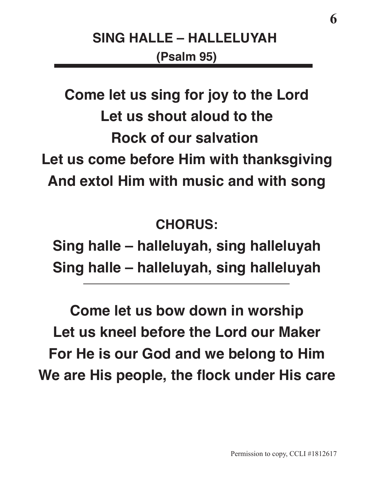**Come let us sing for joy to the Lord Let us shout aloud to the Rock of our salvation Let us come before Him with thanksgiving And extol Him with music and with song**

**CHORUS:**

 **Sing halle – halleluyah, sing halleluyah Sing halle – halleluyah, sing halleluyah**

 **Come let us bow down in worship Let us kneel before the Lord our Maker For He is our God and we belong to Him** We are His people, the flock under His care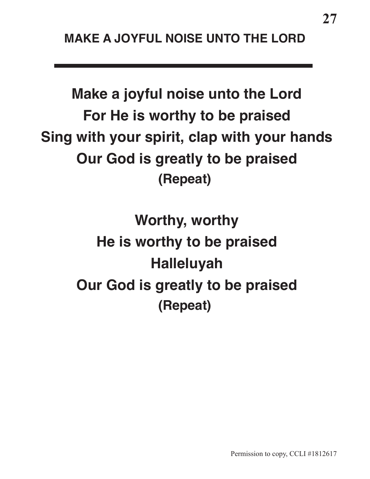**Make a joyful noise unto the Lord For He is worthy to be praised Sing with your spirit, clap with your hands Our God is greatly to be praised (Repeat)**

> **Worthy, worthy He is worthy to be praised Halleluyah Our God is greatly to be praised (Repeat)**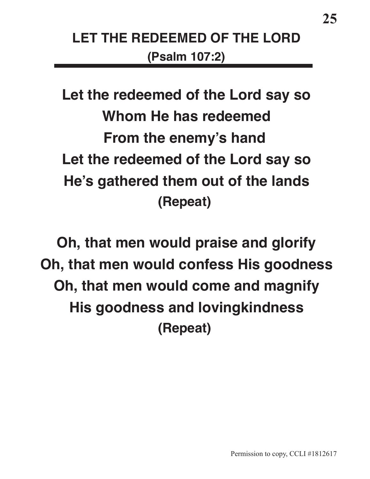## **LET THE REDEEMED OF THE LORD (Psalm 107:2)**

**Let the redeemed of the Lord say so Whom He has redeemed From the enemy's hand Let the redeemed of the Lord say so He's gathered them out of the lands (Repeat)**

**Oh, that men would praise and glorify Oh, that men would confess His goodness Oh, that men would come and magnify His goodness and lovingkindness (Repeat)**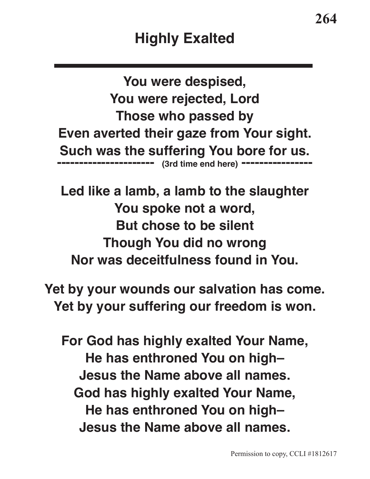**You were despised, You were rejected, Lord Those who passed by Even averted their gaze from Your sight. Such was the suffering You bore for us. ---------------------- (3rd time end here) ----------------**

**Led like a lamb, a lamb to the slaughter You spoke not a word, But chose to be silent Though You did no wrong Nor was deceitfulness found in You.**

**Yet by your wounds our salvation has come. Yet by your suffering our freedom is won.**

**For God has highly exalted Your Name, He has enthroned You on high– Jesus the Name above all names. God has highly exalted Your Name, He has enthroned You on high– Jesus the Name above all names.**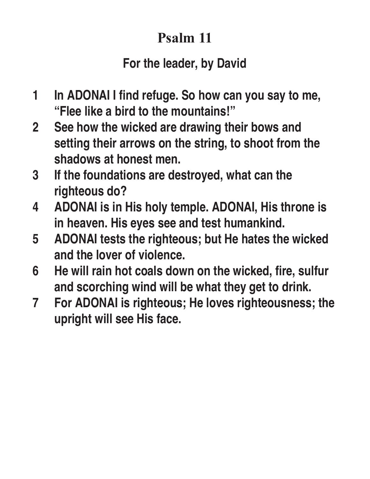# **Psalm 11**

### **For the leader, by David**

- **1 In ADONAI I fnd refuge. So how can you say to me, "Flee like a bird to the mountains!"**
- **2 See how the wicked are drawing their bows and setting their arrows on the string, to shoot from the shadows at honest men.**
- **3 If the foundations are destroyed, what can the righteous do?**
- **4 ADONAI is in His holy temple. ADONAI, His throne is in heaven. His eyes see and test humankind.**
- **5 ADONAI tests the righteous; but He hates the wicked and the lover of violence.**
- **6 He will rain hot coals down on the wicked, fre, sulfur and scorching wind will be what they get to drink.**
- **7 For ADONAI is righteous; He loves righteousness; the upright will see His face.**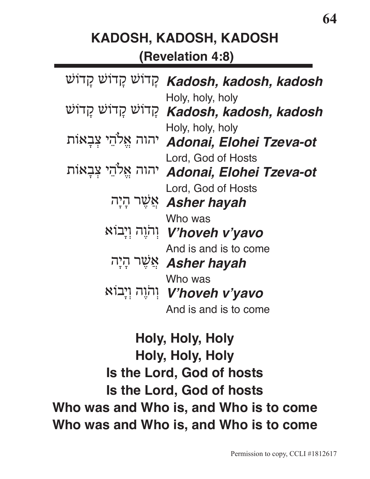### **KADOSH, KADOSH, KADOSH (Revelation 4:8)**

| קְּדוֹשׁ קָדוֹשׁ קַדוֹשׁ (Kadosh, kadosh, kadosh                     |
|----------------------------------------------------------------------|
| Holy, holy, holy<br>קְדוֹשׁ קָדוֹשׁ קָדוֹשׁ Kadosh, kadosh, kadosh   |
| Holy, holy, holy<br>יהוה אֱלֹהֵי צִבְאוֹת Adonai, Elohei Tzeva-ot    |
| Lord, God of Hosts<br>יהוה אֱלֹהֵי צִּבָאוֹת Adonai, Elohei Tzeva-ot |
| Lord, God of Hosts<br>אֲשֶׁר הָיָה Asher hayah                       |
| Who was<br>יְהֹוֶה וְיָבוֹא V'hoveh v'yavo                           |
| And is and is to come<br>אַשֶּׁר הָיָה Asher hayah                   |
| Who was<br>יְהֹוֶה וְיָבוֹא V'hoveh v'yavo                           |
| And is and is to come                                                |

**Holy, Holy, Holy Holy, Holy, Holy Is the Lord, God of hosts Is the Lord, God of hosts Who was and Who is, and Who is to come Who was and Who is, and Who is to come**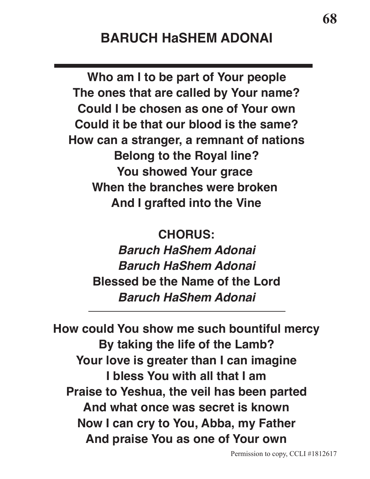#### **BARUCH HaSHEM ADONAI**

**Who am I to be part of Your people The ones that are called by Your name? Could I be chosen as one of Your own Could it be that our blood is the same? How can a stranger, a remnant of nations Belong to the Royal line? You showed Your grace When the branches were broken And I grafted into the Vine**

 **CHORUS:**

**Baruch HaShem Adonai Baruch HaShem Adonai Blessed be the Name of the Lord Baruch HaShem Adonai**

 **How could You show me such bountiful mercy By taking the life of the Lamb? Your love is greater than I can imagine I bless You with all that I am Praise to Yeshua, the veil has been parted And what once was secret is known Now I can cry to You, Abba, my Father And praise You as one of Your own**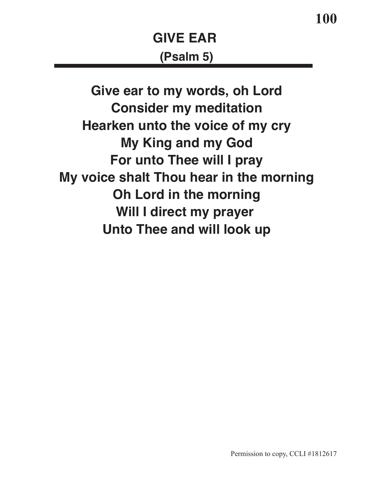**Give ear to my words, oh Lord Consider my meditation Hearken unto the voice of my cry My King and my God For unto Thee will I pray My voice shalt Thou hear in the morning Oh Lord in the morning Will I direct my prayer Unto Thee and will look up**

**100**